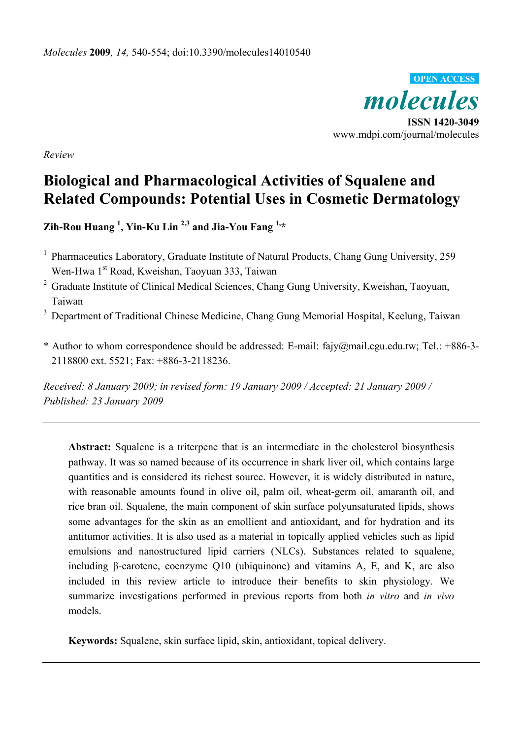*molecules*  **ISSN 1420-3049**  www.mdpi.com/journal/molecules **OPEN ACCESS**

*Review* 

# **Biological and Pharmacological Activities of Squalene and Related Compounds: Potential Uses in Cosmetic Dermatology**

**Zih-Rou Huang <sup>1</sup> , Yin-Ku Lin 2,3 and Jia-You Fang 1,\*** 

- <sup>1</sup> Pharmaceutics Laboratory, Graduate Institute of Natural Products, Chang Gung University, 259 Wen-Hwa 1<sup>st</sup> Road, Kweishan, Taoyuan 333, Taiwan
- <sup>2</sup> Graduate Institute of Clinical Medical Sciences, Chang Gung University, Kweishan, Taoyuan, Taiwan
- <sup>3</sup> Department of Traditional Chinese Medicine, Chang Gung Memorial Hospital, Keelung, Taiwan
- \* Author to whom correspondence should be addressed: E-mail: fajy@mail.cgu.edu.tw; Tel.: +886-3- 2118800 ext. 5521; Fax: +886-3-2118236.

*Received: 8 January 2009; in revised form: 19 January 2009 / Accepted: 21 January 2009 / Published: 23 January 2009* 

**Abstract:** Squalene is a triterpene that is an intermediate in the cholesterol biosynthesis pathway. It was so named because of its occurrence in shark liver oil, which contains large quantities and is considered its richest source. However, it is widely distributed in nature, with reasonable amounts found in olive oil, palm oil, wheat-germ oil, amaranth oil, and rice bran oil. Squalene, the main component of skin surface polyunsaturated lipids, shows some advantages for the skin as an emollient and antioxidant, and for hydration and its antitumor activities. It is also used as a material in topically applied vehicles such as lipid emulsions and nanostructured lipid carriers (NLCs). Substances related to squalene, including β-carotene, coenzyme Q10 (ubiquinone) and vitamins A, E, and K, are also included in this review article to introduce their benefits to skin physiology. We summarize investigations performed in previous reports from both *in vitro* and *in vivo* models.

**Keywords:** Squalene, skin surface lipid, skin, antioxidant, topical delivery.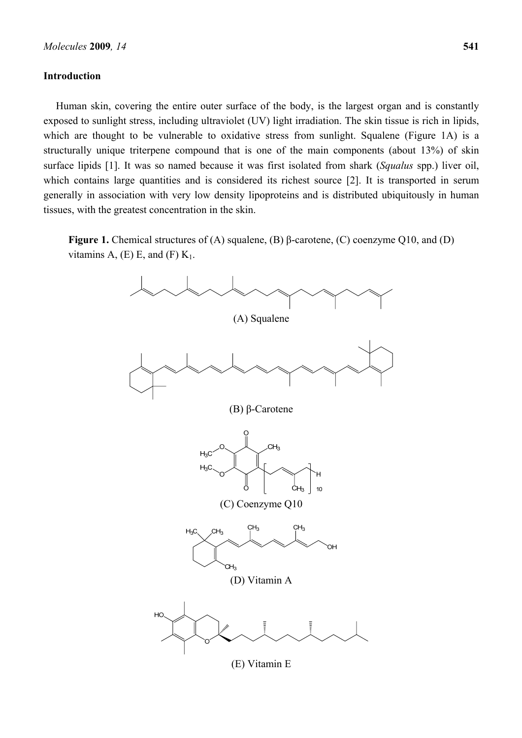#### **Introduction**

Human skin, covering the entire outer surface of the body, is the largest organ and is constantly exposed to sunlight stress, including ultraviolet (UV) light irradiation. The skin tissue is rich in lipids, which are thought to be vulnerable to oxidative stress from sunlight. Squalene (Figure 1A) is a structurally unique triterpene compound that is one of the main components (about 13%) of skin surface lipids [1]. It was so named because it was first isolated from shark (*Squalus* spp.) liver oil, which contains large quantities and is considered its richest source [2]. It is transported in serum generally in association with very low density lipoproteins and is distributed ubiquitously in human tissues, with the greatest concentration in the skin.

**Figure 1.** Chemical structures of (A) squalene, (B) β-carotene, (C) coenzyme Q10, and (D) vitamins A,  $(E)$  E, and  $(F)$  K<sub>1</sub>.



(E) Vitamin E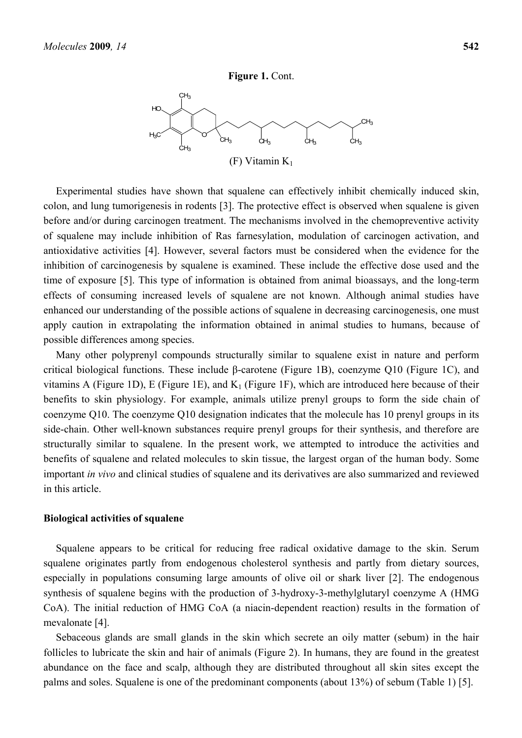HC

 $H_2C$ 

 $c_{H_3}$ 

 $CH<sub>3</sub>$ 

 $CH<sub>3</sub>$ 



 $GH_3$ 

 $\overline{\overline{C}}$ H<sub>3</sub>

 $c_{H_3}$ 

Experimental studies have shown that squalene can effectively inhibit chemically induced skin, colon, and lung tumorigenesis in rodents [3]. The protective effect is observed when squalene is given before and/or during carcinogen treatment. The mechanisms involved in the chemopreventive activity of squalene may include inhibition of Ras farnesylation, modulation of carcinogen activation, and antioxidative activities [4]. However, several factors must be considered when the evidence for the inhibition of carcinogenesis by squalene is examined. These include the effective dose used and the time of exposure [5]. This type of information is obtained from animal bioassays, and the long-term effects of consuming increased levels of squalene are not known. Although animal studies have enhanced our understanding of the possible actions of squalene in decreasing carcinogenesis, one must apply caution in extrapolating the information obtained in animal studies to humans, because of possible differences among species.

Many other polyprenyl compounds structurally similar to squalene exist in nature and perform critical biological functions. These include β-carotene (Figure 1B), coenzyme Q10 (Figure 1C), and vitamins A (Figure 1D), E (Figure 1E), and  $K_1$  (Figure 1F), which are introduced here because of their benefits to skin physiology. For example, animals utilize prenyl groups to form the side chain of coenzyme Q10. The coenzyme Q10 designation indicates that the molecule has 10 prenyl groups in its side-chain. Other well-known substances require prenyl groups for their synthesis, and therefore are structurally similar to squalene. In the present work, we attempted to introduce the activities and benefits of squalene and related molecules to skin tissue, the largest organ of the human body. Some important *in vivo* and clinical studies of squalene and its derivatives are also summarized and reviewed in this article.

#### **Biological activities of squalene**

Squalene appears to be critical for reducing free radical oxidative damage to the skin. Serum squalene originates partly from endogenous cholesterol synthesis and partly from dietary sources, especially in populations consuming large amounts of olive oil or shark liver [2]. The endogenous synthesis of squalene begins with the production of 3-hydroxy-3-methylglutaryl coenzyme A (HMG CoA). The initial reduction of HMG CoA (a niacin-dependent reaction) results in the formation of mevalonate [4].

Sebaceous glands are small glands in the skin which secrete an oily matter (sebum) in the hair follicles to lubricate the skin and hair of animals (Figure 2). In humans, they are found in the greatest abundance on the face and scalp, although they are distributed throughout all skin sites except the palms and soles. Squalene is one of the predominant components (about 13%) of sebum (Table 1) [5].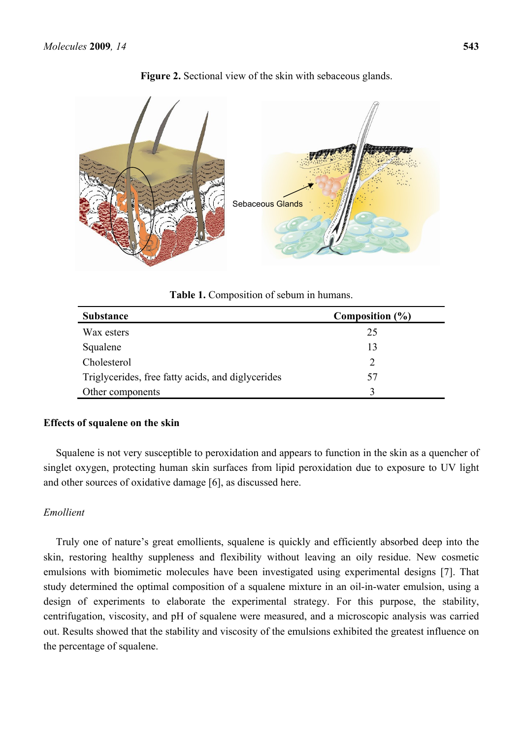

**Figure 2.** Sectional view of the skin with sebaceous glands.

**Table 1.** Composition of sebum in humans.

| <b>Substance</b>                                  | Composition (%) |
|---------------------------------------------------|-----------------|
| Wax esters                                        | 25              |
| Squalene                                          | 13              |
| Cholesterol                                       | 2               |
| Triglycerides, free fatty acids, and diglycerides | 57              |
| Other components                                  | $\mathbf 3$     |

# **Effects of squalene on the skin**

Squalene is not very susceptible to peroxidation and appears to function in the skin as a quencher of singlet oxygen, protecting human skin surfaces from lipid peroxidation due to exposure to UV light and other sources of oxidative damage [6], as discussed here.

# *Emollient*

Truly one of nature's great emollients, squalene is quickly and efficiently absorbed deep into the skin, restoring healthy suppleness and flexibility without leaving an oily residue. New cosmetic emulsions with biomimetic molecules have been investigated using experimental designs [7]. That study determined the optimal composition of a squalene mixture in an oil-in-water emulsion, using a design of experiments to elaborate the experimental strategy. For this purpose, the stability, centrifugation, viscosity, and pH of squalene were measured, and a microscopic analysis was carried out. Results showed that the stability and viscosity of the emulsions exhibited the greatest influence on the percentage of squalene.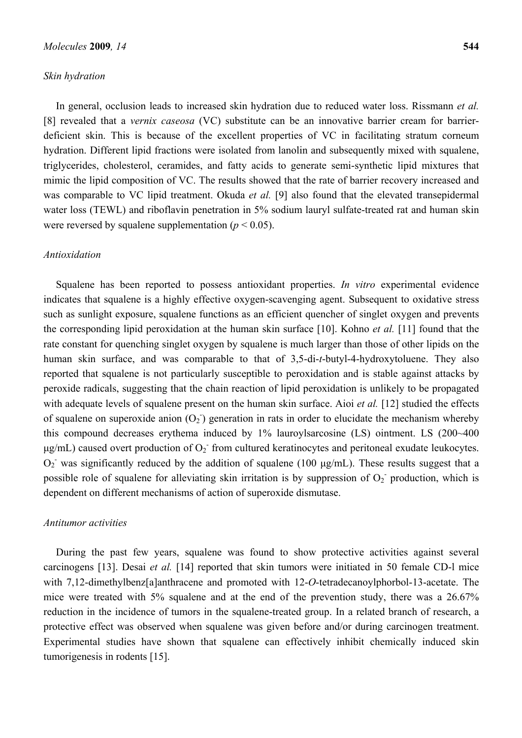#### *Skin hydration*

In general, occlusion leads to increased skin hydration due to reduced water loss. Rissmann *et al.* [8] revealed that a *vernix caseosa* (VC) substitute can be an innovative barrier cream for barrierdeficient skin. This is because of the excellent properties of VC in facilitating stratum corneum hydration. Different lipid fractions were isolated from lanolin and subsequently mixed with squalene, triglycerides, cholesterol, ceramides, and fatty acids to generate semi-synthetic lipid mixtures that mimic the lipid composition of VC. The results showed that the rate of barrier recovery increased and was comparable to VC lipid treatment. Okuda *et al.* [9] also found that the elevated transepidermal water loss (TEWL) and riboflavin penetration in 5% sodium lauryl sulfate-treated rat and human skin were reversed by squalene supplementation ( $p < 0.05$ ).

#### *Antioxidation*

Squalene has been reported to possess antioxidant properties. *In vitro* experimental evidence indicates that squalene is a highly effective oxygen-scavenging agent. Subsequent to oxidative stress such as sunlight exposure, squalene functions as an efficient quencher of singlet oxygen and prevents the corresponding lipid peroxidation at the human skin surface [10]. Kohno *et al.* [11] found that the rate constant for quenching singlet oxygen by squalene is much larger than those of other lipids on the human skin surface, and was comparable to that of 3,5-di-*t*-butyl-4-hydroxytoluene. They also reported that squalene is not particularly susceptible to peroxidation and is stable against attacks by peroxide radicals, suggesting that the chain reaction of lipid peroxidation is unlikely to be propagated with adequate levels of squalene present on the human skin surface. Aioi *et al.* [12] studied the effects of squalene on superoxide anion  $(O_2)$  generation in rats in order to elucidate the mechanism whereby this compound decreases erythema induced by 1% lauroylsarcosine (LS) ointment. LS (200~400  $\mu$ g/mL) caused overt production of  $O_2$  from cultured keratinocytes and peritoneal exudate leukocytes.  $O_2$  was significantly reduced by the addition of squalene (100  $\mu$ g/mL). These results suggest that a possible role of squalene for alleviating skin irritation is by suppression of  $O_2$  production, which is dependent on different mechanisms of action of superoxide dismutase.

#### *Antitumor activities*

During the past few years, squalene was found to show protective activities against several carcinogens [13]. Desai *et al.* [14] reported that skin tumors were initiated in 50 female CD-l mice with 7,12-dimethylbenz[a]anthracene and promoted with 12-*O*-tetradecanoylphorbol-13-acetate. The mice were treated with 5% squalene and at the end of the prevention study, there was a 26.67% reduction in the incidence of tumors in the squalene-treated group. In a related branch of research, a protective effect was observed when squalene was given before and/or during carcinogen treatment. Experimental studies have shown that squalene can effectively inhibit chemically induced skin tumorigenesis in rodents [15].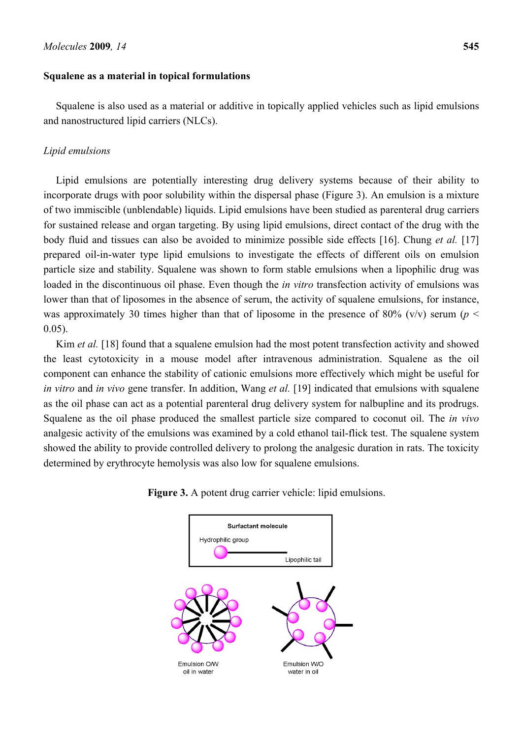## **Squalene as a material in topical formulations**

Squalene is also used as a material or additive in topically applied vehicles such as lipid emulsions and nanostructured lipid carriers (NLCs).

# *Lipid emulsions*

Lipid emulsions are potentially interesting drug delivery systems because of their ability to incorporate drugs with poor solubility within the dispersal phase (Figure 3). An emulsion is a mixture of two immiscible (unblendable) liquids. Lipid emulsions have been studied as parenteral drug carriers for sustained release and organ targeting. By using lipid emulsions, direct contact of the drug with the body fluid and tissues can also be avoided to minimize possible side effects [16]. Chung *et al.* [17] prepared oil-in-water type lipid emulsions to investigate the effects of different oils on emulsion particle size and stability. Squalene was shown to form stable emulsions when a lipophilic drug was loaded in the discontinuous oil phase. Even though the *in vitro* transfection activity of emulsions was lower than that of liposomes in the absence of serum, the activity of squalene emulsions, for instance, was approximately 30 times higher than that of liposome in the presence of 80% ( $v/v$ ) serum ( $p <$ 0.05).

Kim *et al.* [18] found that a squalene emulsion had the most potent transfection activity and showed the least cytotoxicity in a mouse model after intravenous administration. Squalene as the oil component can enhance the stability of cationic emulsions more effectively which might be useful for *in vitro* and *in vivo* gene transfer. In addition, Wang *et al.* [19] indicated that emulsions with squalene as the oil phase can act as a potential parenteral drug delivery system for nalbupline and its prodrugs. Squalene as the oil phase produced the smallest particle size compared to coconut oil. The *in vivo* analgesic activity of the emulsions was examined by a cold ethanol tail-flick test. The squalene system showed the ability to provide controlled delivery to prolong the analgesic duration in rats. The toxicity determined by erythrocyte hemolysis was also low for squalene emulsions.

> Surfactant molecule Hydrophilic group Lipophilic tail Emulsion O/W Emulsion W/O oil in water water in oil

**Figure 3.** A potent drug carrier vehicle: lipid emulsions.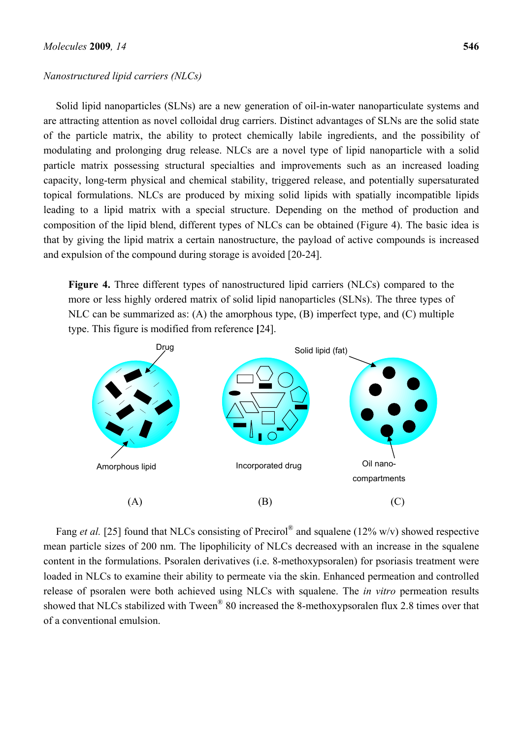#### *Nanostructured lipid carriers (NLCs)*

Solid lipid nanoparticles (SLNs) are a new generation of oil-in-water nanoparticulate systems and are attracting attention as novel colloidal drug carriers. Distinct advantages of SLNs are the solid state of the particle matrix, the ability to protect chemically labile ingredients, and the possibility of modulating and prolonging drug release. NLCs are a novel type of lipid nanoparticle with a solid particle matrix possessing structural specialties and improvements such as an increased loading capacity, long-term physical and chemical stability, triggered release, and potentially supersaturated topical formulations. NLCs are produced by mixing solid lipids with spatially incompatible lipids leading to a lipid matrix with a special structure. Depending on the method of production and composition of the lipid blend, different types of NLCs can be obtained (Figure 4). The basic idea is that by giving the lipid matrix a certain nanostructure, the payload of active compounds is increased and expulsion of the compound during storage is avoided [20-24].

**Figure 4.** Three different types of nanostructured lipid carriers (NLCs) compared to the more or less highly ordered matrix of solid lipid nanoparticles (SLNs). The three types of NLC can be summarized as: (A) the amorphous type, (B) imperfect type, and (C) multiple type. This figure is modified from reference **[**24].



Fang *et al.* [25] found that NLCs consisting of Precirol<sup>®</sup> and squalene (12% w/v) showed respective mean particle sizes of 200 nm. The lipophilicity of NLCs decreased with an increase in the squalene content in the formulations. Psoralen derivatives (i.e. 8-methoxypsoralen) for psoriasis treatment were loaded in NLCs to examine their ability to permeate via the skin. Enhanced permeation and controlled release of psoralen were both achieved using NLCs with squalene. The *in vitro* permeation results showed that NLCs stabilized with Tween<sup>®</sup> 80 increased the 8-methoxypsoralen flux 2.8 times over that of a conventional emulsion.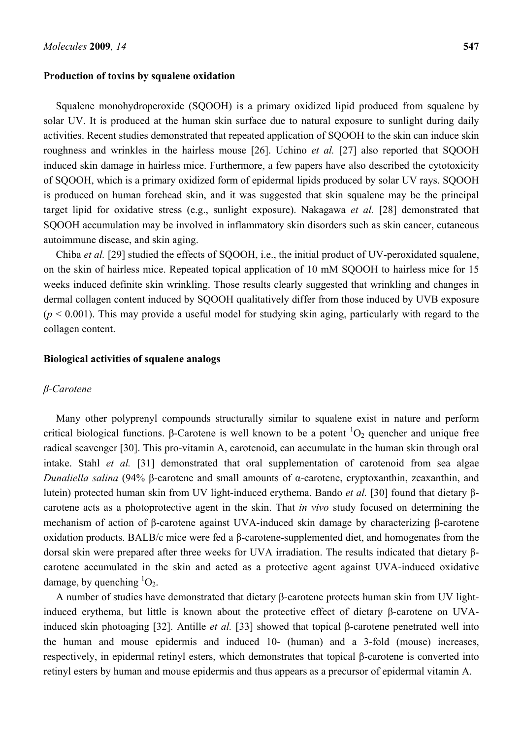#### **Production of toxins by squalene oxidation**

Squalene monohydroperoxide (SQOOH) is a primary oxidized lipid produced from squalene by solar UV. It is produced at the human skin surface due to natural exposure to sunlight during daily activities. Recent studies demonstrated that repeated application of SQOOH to the skin can induce skin roughness and wrinkles in the hairless mouse [26]. Uchino *et al.* [27] also reported that SOOOH induced skin damage in hairless mice. Furthermore, a few papers have also described the cytotoxicity of SQOOH, which is a primary oxidized form of epidermal lipids produced by solar UV rays. SQOOH is produced on human forehead skin, and it was suggested that skin squalene may be the principal target lipid for oxidative stress (e.g., sunlight exposure). Nakagawa *et al.* [28] demonstrated that SQOOH accumulation may be involved in inflammatory skin disorders such as skin cancer, cutaneous autoimmune disease, and skin aging.

Chiba *et al.* [29] studied the effects of SQOOH, i.e., the initial product of UV-peroxidated squalene, on the skin of hairless mice. Repeated topical application of 10 mM SQOOH to hairless mice for 15 weeks induced definite skin wrinkling. Those results clearly suggested that wrinkling and changes in dermal collagen content induced by SOOOH qualitatively differ from those induced by UVB exposure  $(p < 0.001)$ . This may provide a useful model for studying skin aging, particularly with regard to the collagen content.

#### **Biological activities of squalene analogs**

#### *β-Carotene*

Many other polyprenyl compounds structurally similar to squalene exist in nature and perform critical biological functions. β-Carotene is well known to be a potent  ${}^{1}O_{2}$  quencher and unique free radical scavenger [30]. This pro-vitamin A, carotenoid, can accumulate in the human skin through oral intake. Stahl *et al.* [31] demonstrated that oral supplementation of carotenoid from sea algae *Dunaliella salina* (94% β-carotene and small amounts of α-carotene, cryptoxanthin, zeaxanthin, and lutein) protected human skin from UV light-induced erythema. Bando *et al.* [30] found that dietary βcarotene acts as a photoprotective agent in the skin. That *in vivo* study focused on determining the mechanism of action of β-carotene against UVA-induced skin damage by characterizing β-carotene oxidation products. BALB/c mice were fed a β-carotene-supplemented diet, and homogenates from the dorsal skin were prepared after three weeks for UVA irradiation. The results indicated that dietary βcarotene accumulated in the skin and acted as a protective agent against UVA-induced oxidative damage, by quenching  ${}^{1}O_{2}$ .

A number of studies have demonstrated that dietary β-carotene protects human skin from UV lightinduced erythema, but little is known about the protective effect of dietary β-carotene on UVAinduced skin photoaging [32]. Antille *et al.* [33] showed that topical β-carotene penetrated well into the human and mouse epidermis and induced 10- (human) and a 3-fold (mouse) increases, respectively, in epidermal retinyl esters, which demonstrates that topical β-carotene is converted into retinyl esters by human and mouse epidermis and thus appears as a precursor of epidermal vitamin A.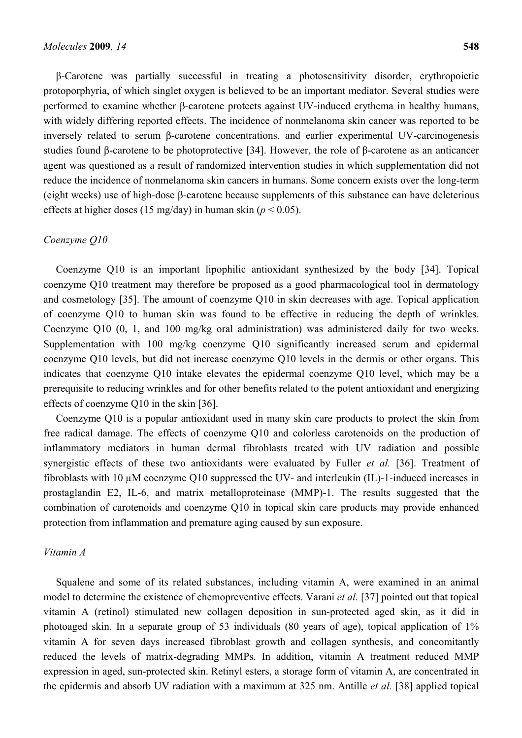β-Carotene was partially successful in treating a photosensitivity disorder, erythropoietic protoporphyria, of which singlet oxygen is believed to be an important mediator. Several studies were performed to examine whether β-carotene protects against UV-induced erythema in healthy humans, with widely differing reported effects. The incidence of nonmelanoma skin cancer was reported to be inversely related to serum β-carotene concentrations, and earlier experimental UV-carcinogenesis studies found β-carotene to be photoprotective [34]. However, the role of β-carotene as an anticancer agent was questioned as a result of randomized intervention studies in which supplementation did not reduce the incidence of nonmelanoma skin cancers in humans. Some concern exists over the long-term (eight weeks) use of high-dose β-carotene because supplements of this substance can have deleterious effects at higher doses (15 mg/day) in human skin (*p* < 0.05).

#### *Coenzyme Q10*

Coenzyme Q10 is an important lipophilic antioxidant synthesized by the body [34]. Topical coenzyme Q10 treatment may therefore be proposed as a good pharmacological tool in dermatology and cosmetology [35]. The amount of coenzyme Q10 in skin decreases with age. Topical application of coenzyme Q10 to human skin was found to be effective in reducing the depth of wrinkles. Coenzyme Q10 (0, 1, and 100 mg/kg oral administration) was administered daily for two weeks. Supplementation with 100 mg/kg coenzyme Q10 significantly increased serum and epidermal coenzyme Q10 levels, but did not increase coenzyme Q10 levels in the dermis or other organs. This indicates that coenzyme Q10 intake elevates the epidermal coenzyme Q10 level, which may be a prerequisite to reducing wrinkles and for other benefits related to the potent antioxidant and energizing effects of coenzyme Q10 in the skin [36].

Coenzyme Q10 is a popular antioxidant used in many skin care products to protect the skin from free radical damage. The effects of coenzyme Q10 and colorless carotenoids on the production of inflammatory mediators in human dermal fibroblasts treated with UV radiation and possible synergistic effects of these two antioxidants were evaluated by Fuller *et al.* [36]. Treatment of fibroblasts with 10 µM coenzyme Q10 suppressed the UV- and interleukin (IL)-1-induced increases in prostaglandin E2, IL-6, and matrix metalloproteinase (MMP)-1. The results suggested that the combination of carotenoids and coenzyme Q10 in topical skin care products may provide enhanced protection from inflammation and premature aging caused by sun exposure.

## *Vitamin A*

Squalene and some of its related substances, including vitamin A, were examined in an animal model to determine the existence of chemopreventive effects. Varani *et al.* [37] pointed out that topical vitamin A (retinol) stimulated new collagen deposition in sun-protected aged skin, as it did in photoaged skin. In a separate group of 53 individuals (80 years of age), topical application of 1% vitamin A for seven days increased fibroblast growth and collagen synthesis, and concomitantly reduced the levels of matrix-degrading MMPs. In addition, vitamin A treatment reduced MMP expression in aged, sun-protected skin. Retinyl esters, a storage form of vitamin A, are concentrated in the epidermis and absorb UV radiation with a maximum at 325 nm. Antille *et al.* [38] applied topical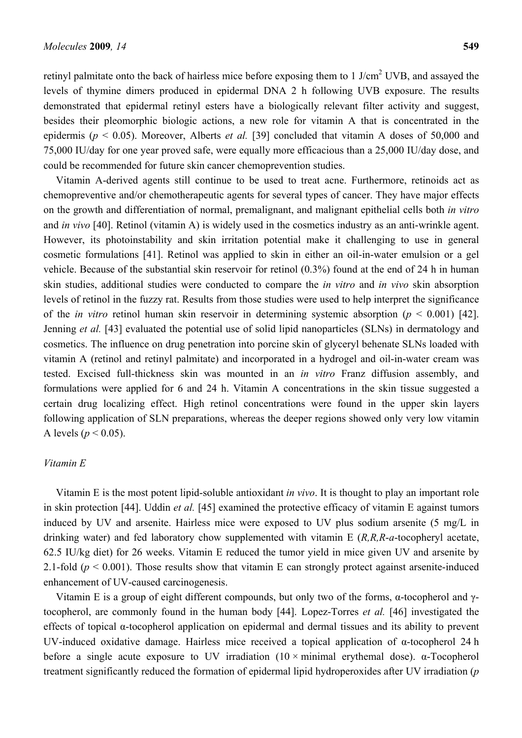retinyl palmitate onto the back of hairless mice before exposing them to  $1$  J/cm<sup>2</sup> UVB, and assayed the levels of thymine dimers produced in epidermal DNA 2 h following UVB exposure. The results demonstrated that epidermal retinyl esters have a biologically relevant filter activity and suggest, besides their pleomorphic biologic actions, a new role for vitamin A that is concentrated in the epidermis (*p* < 0.05). Moreover, Alberts *et al.* [39] concluded that vitamin A doses of 50,000 and 75,000 IU/day for one year proved safe, were equally more efficacious than a 25,000 IU/day dose, and could be recommended for future skin cancer chemoprevention studies.

Vitamin A-derived agents still continue to be used to treat acne. Furthermore, retinoids act as chemopreventive and/or chemotherapeutic agents for several types of cancer. They have major effects on the growth and differentiation of normal, premalignant, and malignant epithelial cells both *in vitro* and *in vivo* [40]. Retinol (vitamin A) is widely used in the cosmetics industry as an anti-wrinkle agent. However, its photoinstability and skin irritation potential make it challenging to use in general cosmetic formulations [41]. Retinol was applied to skin in either an oil-in-water emulsion or a gel vehicle. Because of the substantial skin reservoir for retinol (0.3%) found at the end of 24 h in human skin studies, additional studies were conducted to compare the *in vitro* and *in vivo* skin absorption levels of retinol in the fuzzy rat. Results from those studies were used to help interpret the significance of the *in vitro* retinol human skin reservoir in determining systemic absorption (*p* < 0.001) [42]. Jenning *et al.* [43] evaluated the potential use of solid lipid nanoparticles (SLNs) in dermatology and cosmetics. The influence on drug penetration into porcine skin of glyceryl behenate SLNs loaded with vitamin A (retinol and retinyl palmitate) and incorporated in a hydrogel and oil-in-water cream was tested. Excised full-thickness skin was mounted in an *in vitro* Franz diffusion assembly, and formulations were applied for 6 and 24 h. Vitamin A concentrations in the skin tissue suggested a certain drug localizing effect. High retinol concentrations were found in the upper skin layers following application of SLN preparations, whereas the deeper regions showed only very low vitamin A levels ( $p < 0.05$ ).

#### *Vitamin E*

Vitamin E is the most potent lipid-soluble antioxidant *in vivo*. It is thought to play an important role in skin protection [44]. Uddin *et al.* [45] examined the protective efficacy of vitamin E against tumors induced by UV and arsenite. Hairless mice were exposed to UV plus sodium arsenite (5 mg/L in drinking water) and fed laboratory chow supplemented with vitamin E (*R,R,R*-*a*-tocopheryl acetate, 62.5 IU/kg diet) for 26 weeks. Vitamin E reduced the tumor yield in mice given UV and arsenite by 2.1-fold ( $p < 0.001$ ). Those results show that vitamin E can strongly protect against arsenite-induced enhancement of UV-caused carcinogenesis.

Vitamin E is a group of eight different compounds, but only two of the forms, α-tocopherol and γtocopherol, are commonly found in the human body [44]. Lopez-Torres *et al.* [46] investigated the effects of topical α-tocopherol application on epidermal and dermal tissues and its ability to prevent UV-induced oxidative damage. Hairless mice received a topical application of  $\alpha$ -tocopherol 24 h before a single acute exposure to UV irradiation  $(10 \times \text{minimal~erythemal dose})$ . α-Tocopherol treatment significantly reduced the formation of epidermal lipid hydroperoxides after UV irradiation (*p*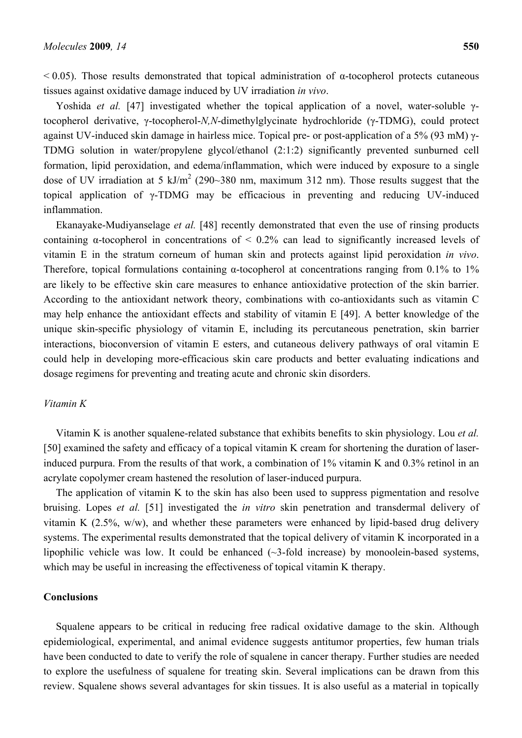$0.05$ . Those results demonstrated that topical administration of α-tocopherol protects cutaneous tissues against oxidative damage induced by UV irradiation *in vivo*.

Yoshida *et al.* [47] investigated whether the topical application of a novel, water-soluble γtocopherol derivative, γ-tocopherol-*N,N*-dimethylglycinate hydrochloride (γ-TDMG), could protect against UV-induced skin damage in hairless mice. Topical pre- or post-application of a 5% (93 mM) γ-TDMG solution in water/propylene glycol/ethanol (2:1:2) significantly prevented sunburned cell formation, lipid peroxidation, and edema/inflammation, which were induced by exposure to a single dose of UV irradiation at 5 kJ/m<sup>2</sup> (290~380 nm, maximum 312 nm). Those results suggest that the topical application of γ-TDMG may be efficacious in preventing and reducing UV-induced inflammation.

Ekanayake-Mudiyanselage *et al.* [48] recently demonstrated that even the use of rinsing products containing  $\alpha$ -tocopherol in concentrations of  $\leq 0.2\%$  can lead to significantly increased levels of vitamin E in the stratum corneum of human skin and protects against lipid peroxidation *in vivo*. Therefore, topical formulations containing  $\alpha$ -tocopherol at concentrations ranging from 0.1% to 1% are likely to be effective skin care measures to enhance antioxidative protection of the skin barrier. According to the antioxidant network theory, combinations with co-antioxidants such as vitamin C may help enhance the antioxidant effects and stability of vitamin E [49]. A better knowledge of the unique skin-specific physiology of vitamin E, including its percutaneous penetration, skin barrier interactions, bioconversion of vitamin E esters, and cutaneous delivery pathways of oral vitamin E could help in developing more-efficacious skin care products and better evaluating indications and dosage regimens for preventing and treating acute and chronic skin disorders.

## *Vitamin K*

Vitamin K is another squalene-related substance that exhibits benefits to skin physiology. Lou *et al.* [50] examined the safety and efficacy of a topical vitamin K cream for shortening the duration of laserinduced purpura. From the results of that work, a combination of 1% vitamin K and 0.3% retinol in an acrylate copolymer cream hastened the resolution of laser-induced purpura.

The application of vitamin K to the skin has also been used to suppress pigmentation and resolve bruising. Lopes *et al.* [51] investigated the *in vitro* skin penetration and transdermal delivery of vitamin K  $(2.5\%, w/w)$ , and whether these parameters were enhanced by lipid-based drug delivery systems. The experimental results demonstrated that the topical delivery of vitamin K incorporated in a lipophilic vehicle was low. It could be enhanced  $(\sim 3$ -fold increase) by monoolein-based systems, which may be useful in increasing the effectiveness of topical vitamin K therapy.

#### **Conclusions**

Squalene appears to be critical in reducing free radical oxidative damage to the skin. Although epidemiological, experimental, and animal evidence suggests antitumor properties, few human trials have been conducted to date to verify the role of squalene in cancer therapy. Further studies are needed to explore the usefulness of squalene for treating skin. Several implications can be drawn from this review. Squalene shows several advantages for skin tissues. It is also useful as a material in topically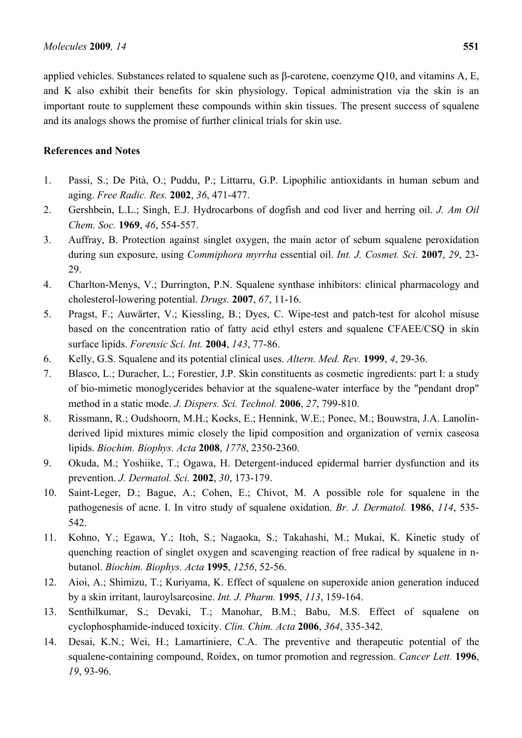applied vehicles. Substances related to squalene such as β-carotene, coenzyme Q10, and vitamins A, E, and K also exhibit their benefits for skin physiology. Topical administration via the skin is an important route to supplement these compounds within skin tissues. The present success of squalene and its analogs shows the promise of further clinical trials for skin use.

# **References and Notes**

- 1. Passi, S.; De Pità, O.; Puddu, P.; Littarru, G.P. Lipophilic antioxidants in human sebum and aging. *Free Radic. Res.* **2002**, *36*, 471-477.
- 2. Gershbein, L.L.; Singh, E.J. Hydrocarbons of dogfish and cod liver and herring oil. *J. Am Oil Chem. Soc.* **1969**, *46*, 554-557.
- 3. Auffray, B. Protection against singlet oxygen, the main actor of sebum squalene peroxidation during sun exposure, using *Commiphora myrrha* essential oil. *Int. J. Cosmet. Sci.* **2007**, *29*, 23- 29.
- 4. Charlton-Menys, V.; Durrington, P.N. Squalene synthase inhibitors: clinical pharmacology and cholesterol-lowering potential. *Drugs.* **2007**, *67*, 11-16.
- 5. Pragst, F.; Auwärter, V.; Kiessling, B.; Dyes, C. Wipe-test and patch-test for alcohol misuse based on the concentration ratio of fatty acid ethyl esters and squalene CFAEE/CSQ in skin surface lipids. *Forensic Sci. Int.* **2004**, *143*, 77-86.
- 6. Kelly, G.S. Squalene and its potential clinical uses. *Altern. Med. Rev.* **1999**, *4*, 29-36.
- 7. Blasco, L.; Duracher, L.; Forestier, J.P. Skin constituents as cosmetic ingredients: part I: a study of bio-mimetic monoglycerides behavior at the squalene-water interface by the "pendant drop" method in a static mode. *J. Dispers. Sci. Technol.* **2006**, *27*, 799-810.
- 8. Rissmann, R.; Oudshoorn, M.H.; Kocks, E.; Hennink, W.E.; Ponec, M.; Bouwstra, J.A. Lanolinderived lipid mixtures mimic closely the lipid composition and organization of vernix caseosa lipids. *Biochim. Biophys. Acta* **2008**, *1778*, 2350-2360.
- 9. Okuda, M.; Yoshiike, T.; Ogawa, H. Detergent-induced epidermal barrier dysfunction and its prevention. *J. Dermatol. Sci.* **2002**, *30*, 173-179.
- 10. Saint-Leger, D.; Bague, A.; Cohen, E.; Chivot, M. A possible role for squalene in the pathogenesis of acne. I. In vitro study of squalene oxidation. *Br. J. Dermatol.* **1986**, *114*, 535- 542.
- 11. Kohno, Y.; Egawa, Y.; Itoh, S.; Nagaoka, S.; Takahashi, M.; Mukai, K. Kinetic study of quenching reaction of singlet oxygen and scavenging reaction of free radical by squalene in nbutanol. *Biochim. Biophys. Acta* **1995**, *1256*, 52-56.
- 12. Aioi, A.; Shimizu, T.; Kuriyama, K. Effect of squalene on superoxide anion generation induced by a skin irritant, lauroylsarcosine. *Int. J. Pharm.* **1995**, *113*, 159-164.
- 13. Senthilkumar, S.; Devaki, T.; Manohar, B.M.; Babu, M.S. Effect of squalene on cyclophosphamide-induced toxicity. *Clin. Chim. Acta* **2006**, *364*, 335-342.
- 14. Desai, K.N.; Wei, H.; Lamartiniere, C.A. The preventive and therapeutic potential of the squalene-containing compound, Roidex, on tumor promotion and regression. *Cancer Lett.* **1996**, *19*, 93-96.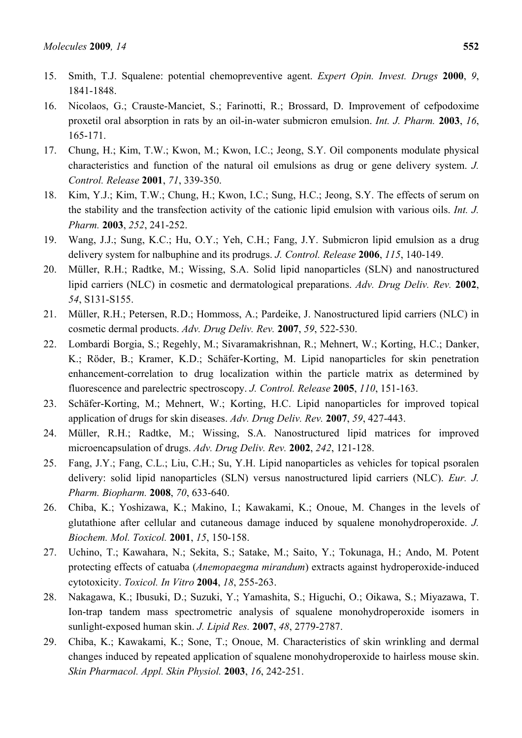- 15. Smith, T.J. Squalene: potential chemopreventive agent. *Expert Opin. Invest. Drugs* **2000**, *9*, 1841-1848.
- 16. Nicolaos, G.; Crauste-Manciet, S.; Farinotti, R.; Brossard, D. Improvement of cefpodoxime proxetil oral absorption in rats by an oil-in-water submicron emulsion. *Int. J. Pharm.* **2003**, *16*, 165-171.
- 17. Chung, H.; Kim, T.W.; Kwon, M.; Kwon, I.C.; Jeong, S.Y. Oil components modulate physical characteristics and function of the natural oil emulsions as drug or gene delivery system. *J. Control. Release* **2001**, *71*, 339-350.
- 18. Kim, Y.J.; Kim, T.W.; Chung, H.; Kwon, I.C.; Sung, H.C.; Jeong, S.Y. The effects of serum on the stability and the transfection activity of the cationic lipid emulsion with various oils. *Int. J. Pharm.* **2003**, *252*, 241-252.
- 19. Wang, J.J.; Sung, K.C.; Hu, O.Y.; Yeh, C.H.; Fang, J.Y. Submicron lipid emulsion as a drug delivery system for nalbuphine and its prodrugs. *J. Control. Release* **2006**, *115*, 140-149.
- 20. Müller, R.H.; Radtke, M.; Wissing, S.A. Solid lipid nanoparticles (SLN) and nanostructured lipid carriers (NLC) in cosmetic and dermatological preparations. *Adv. Drug Deliv. Rev.* **2002**, *54*, S131-S155.
- 21. Müller, R.H.; Petersen, R.D.; Hommoss, A.; Pardeike, J. Nanostructured lipid carriers (NLC) in cosmetic dermal products. *Adv. Drug Deliv. Rev.* **2007**, *59*, 522-530.
- 22. Lombardi Borgia, S.; Regehly, M.; Sivaramakrishnan, R.; Mehnert, W.; Korting, H.C.; Danker, K.; Röder, B.; Kramer, K.D.; Schäfer-Korting, M. Lipid nanoparticles for skin penetration enhancement-correlation to drug localization within the particle matrix as determined by fluorescence and parelectric spectroscopy. *J. Control. Release* **2005**, *110*, 151-163.
- 23. Schäfer-Korting, M.; Mehnert, W.; Korting, H.C. Lipid nanoparticles for improved topical application of drugs for skin diseases. *Adv. Drug Deliv. Rev.* **2007**, *59*, 427-443.
- 24. Müller, R.H.; Radtke, M.; Wissing, S.A. Nanostructured lipid matrices for improved microencapsulation of drugs. *Adv. Drug Deliv. Rev.* **2002**, *242*, 121-128.
- 25. Fang, J.Y.; Fang, C.L.; Liu, C.H.; Su, Y.H. Lipid nanoparticles as vehicles for topical psoralen delivery: solid lipid nanoparticles (SLN) versus nanostructured lipid carriers (NLC). *Eur. J. Pharm. Biopharm.* **2008**, *70*, 633-640.
- 26. Chiba, K.; Yoshizawa, K.; Makino, I.; Kawakami, K.; Onoue, M. Changes in the levels of glutathione after cellular and cutaneous damage induced by squalene monohydroperoxide. *J. Biochem. Mol. Toxicol.* **2001**, *15*, 150-158.
- 27. Uchino, T.; Kawahara, N.; Sekita, S.; Satake, M.; Saito, Y.; Tokunaga, H.; Ando, M. Potent protecting effects of catuaba (*Anemopaegma mirandum*) extracts against hydroperoxide-induced cytotoxicity. *Toxicol. In Vitro* **2004**, *18*, 255-263.
- 28. Nakagawa, K.; Ibusuki, D.; Suzuki, Y.; Yamashita, S.; Higuchi, O.; Oikawa, S.; Miyazawa, T. Ion-trap tandem mass spectrometric analysis of squalene monohydroperoxide isomers in sunlight-exposed human skin. *J. Lipid Res.* **2007**, *48*, 2779-2787.
- 29. Chiba, K.; Kawakami, K.; Sone, T.; Onoue, M. Characteristics of skin wrinkling and dermal changes induced by repeated application of squalene monohydroperoxide to hairless mouse skin. *Skin Pharmacol. Appl. Skin Physiol.* **2003**, *16*, 242-251.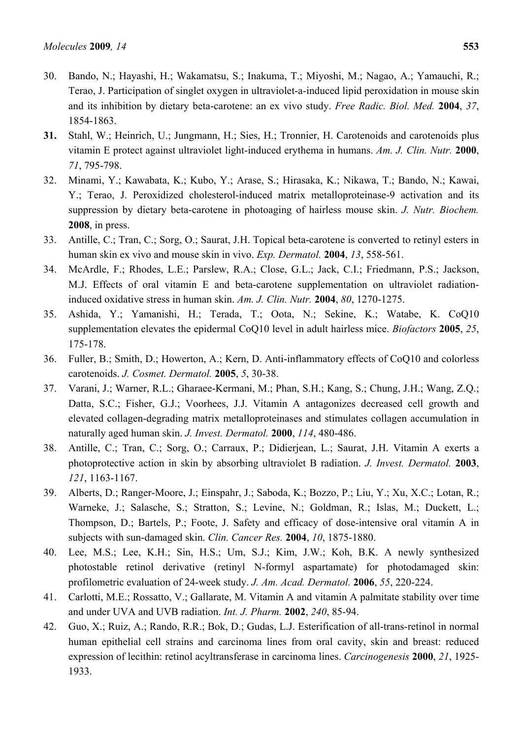- 30. Bando, N.; Hayashi, H.; Wakamatsu, S.; Inakuma, T.; Miyoshi, M.; Nagao, A.; Yamauchi, R.; Terao, J. Participation of singlet oxygen in ultraviolet-a-induced lipid peroxidation in mouse skin and its inhibition by dietary beta-carotene: an ex vivo study. *Free Radic. Biol. Med.* **2004**, *37*, 1854-1863.
- **31.** Stahl, W.; Heinrich, U.; Jungmann, H.; Sies, H.; Tronnier, H. Carotenoids and carotenoids plus vitamin E protect against ultraviolet light-induced erythema in humans. *Am. J. Clin. Nutr.* **2000**, *71*, 795-798.
- 32. Minami, Y.; Kawabata, K.; Kubo, Y.; Arase, S.; Hirasaka, K.; Nikawa, T.; Bando, N.; Kawai, Y.; Terao, J. Peroxidized cholesterol-induced matrix metalloproteinase-9 activation and its suppression by dietary beta-carotene in photoaging of hairless mouse skin. *J. Nutr. Biochem.* **2008**, in press.
- 33. Antille, C.; Tran, C.; Sorg, O.; Saurat, J.H. Topical beta-carotene is converted to retinyl esters in human skin ex vivo and mouse skin in vivo. *Exp. Dermatol.* **2004**, *13*, 558-561.
- 34. McArdle, F.; Rhodes, L.E.; Parslew, R.A.; Close, G.L.; Jack, C.I.; Friedmann, P.S.; Jackson, M.J. Effects of oral vitamin E and beta-carotene supplementation on ultraviolet radiationinduced oxidative stress in human skin. *Am. J. Clin. Nutr.* **2004**, *80*, 1270-1275.
- 35. Ashida, Y.; Yamanishi, H.; Terada, T.; Oota, N.; Sekine, K.; Watabe, K. CoQ10 supplementation elevates the epidermal CoQ10 level in adult hairless mice. *Biofactors* **2005**, *25*, 175-178.
- 36. Fuller, B.; Smith, D.; Howerton, A.; Kern, D. Anti-inflammatory effects of CoQ10 and colorless carotenoids. *J. Cosmet. Dermatol.* **2005**, *5*, 30-38.
- 37. Varani, J.; Warner, R.L.; Gharaee-Kermani, M.; Phan, S.H.; Kang, S.; Chung, J.H.; Wang, Z.Q.; Datta, S.C.; Fisher, G.J.; Voorhees, J.J. Vitamin A antagonizes decreased cell growth and elevated collagen-degrading matrix metalloproteinases and stimulates collagen accumulation in naturally aged human skin. *J. Invest. Dermatol.* **2000**, *114*, 480-486.
- 38. Antille, C.; Tran, C.; Sorg, O.; Carraux, P.; Didierjean, L.; Saurat, J.H. Vitamin A exerts a photoprotective action in skin by absorbing ultraviolet B radiation. *J. Invest. Dermatol.* **2003**, *121*, 1163-1167.
- 39. Alberts, D.; Ranger-Moore, J.; Einspahr, J.; Saboda, K.; Bozzo, P.; Liu, Y.; Xu, X.C.; Lotan, R.; Warneke, J.; Salasche, S.; Stratton, S.; Levine, N.; Goldman, R.; Islas, M.; Duckett, L.; Thompson, D.; Bartels, P.; Foote, J. Safety and efficacy of dose-intensive oral vitamin A in subjects with sun-damaged skin. *Clin. Cancer Res.* **2004**, *10*, 1875-1880.
- 40. Lee, M.S.; Lee, K.H.; Sin, H.S.; Um, S.J.; Kim, J.W.; Koh, B.K. A newly synthesized photostable retinol derivative (retinyl N-formyl aspartamate) for photodamaged skin: profilometric evaluation of 24-week study. *J. Am. Acad. Dermatol.* **2006**, *55*, 220-224.
- 41. Carlotti, M.E.; Rossatto, V.; Gallarate, M. Vitamin A and vitamin A palmitate stability over time and under UVA and UVB radiation. *Int. J. Pharm.* **2002**, *240*, 85-94.
- 42. Guo, X.; Ruiz, A.; Rando, R.R.; Bok, D.; Gudas, L.J. Esterification of all-trans-retinol in normal human epithelial cell strains and carcinoma lines from oral cavity, skin and breast: reduced expression of lecithin: retinol acyltransferase in carcinoma lines. *Carcinogenesis* **2000**, *21*, 1925- 1933.